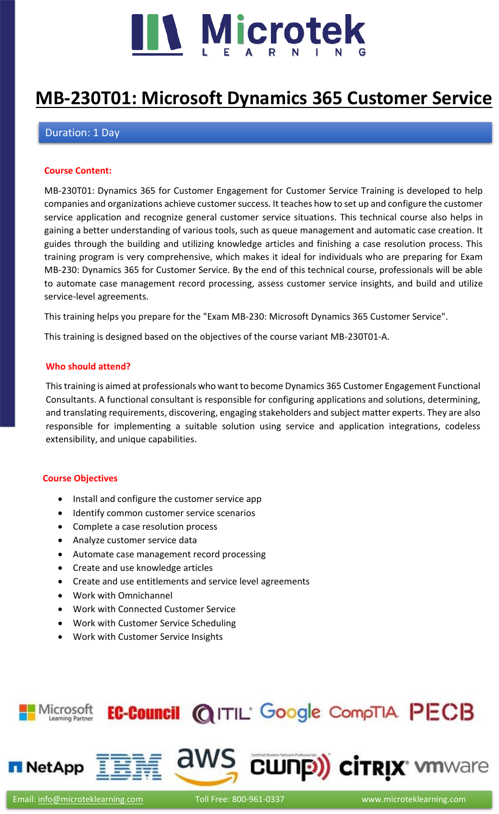

# **[MB-230T01: Microsoft Dynamics 365 Customer Service](https://www.microteklearning.com/mb-230t01-dynamics-365-for-customer-engagement-training/)**

# Duration: 1 Day

# **Course Content:**

MB-230T01: Dynamics 365 for Customer Engagement for Customer Service Training is developed to help companies and organizations achieve customer success. It teaches how to set up and configure the customer service application and recognize general customer service situations. This technical course also helps in gaining a better understanding of various tools, such as queue management and automatic case creation. It guides through the building and utilizing knowledge articles and finishing a case resolution process. This training program is very comprehensive, which makes it ideal for individuals who are preparing for Exam MB-230: Dynamics 365 for Customer Service. By the end of this technical course, professionals will be able to automate case management record processing, assess customer service insights, and build and utilize service-level agreements.

This training helps you prepare for the "Exam MB-230: Microsoft Dynamics 365 Customer Service".

This training is designed based on the objectives of the course variant MB-230T01-A.

# **Who should attend?**

This training is aimed at professionals who want to become Dynamics 365 Customer Engagement Functional Consultants. A functional consultant is responsible for configuring applications and solutions, determining, and translating requirements, discovering, engaging stakeholders and subject matter experts. They are also responsible for implementing a suitable solution using service and application integrations, codeless extensibility, and unique capabilities.

# **Course Objectives**

- Install and configure the customer service app
- Identify common customer service scenarios
- Complete a case resolution process
- Analyze customer service data
- Automate case management record processing
- Create and use knowledge articles
- Create and use entitlements and service level agreements
- Work with Omnichannel
- Work with Connected Customer Service
- Work with Customer Service Scheduling
- Work with Customer Service Insights

# EC-Council @ITIL' Google CompTIA PECB Microsoft



**CWNP) CITRIX MANATE**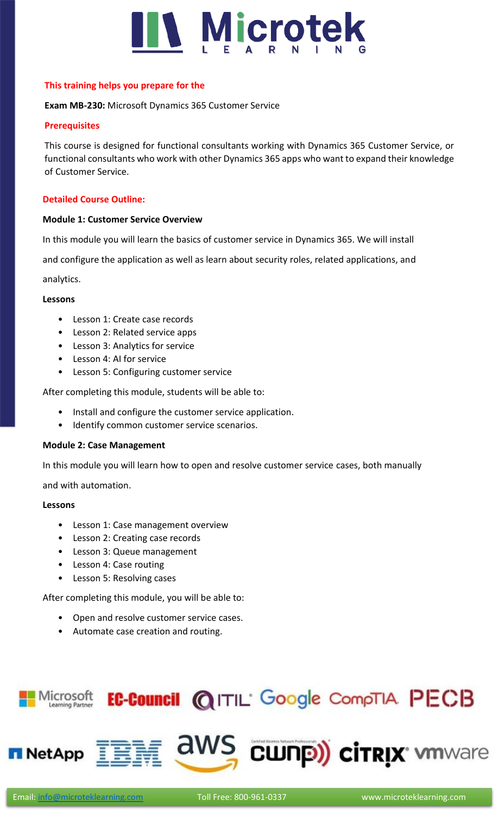

# **This training helps you prepare for the**

# **Exam MB-230:** Microsoft Dynamics 365 Customer Service

# **Prerequisites**

This course is designed for functional consultants working with Dynamics 365 Customer Service, or functional consultants who work with other Dynamics 365 apps who want to expand their knowledge of Customer Service.

# **Detailed Course Outline:**

# **Module 1: Customer Service Overview**

In this module you will learn the basics of customer service in Dynamics 365. We will install

and configure the application as well as learn about security roles, related applications, and

# analytics.

# **Lessons**

- Lesson 1: Create case records
- Lesson 2: Related service apps
- Lesson 3: Analytics for service
- Lesson 4: AI for service
- Lesson 5: Configuring customer service

After completing this module, students will be able to:

- Install and configure the customer service application.
- Identify common customer service scenarios.

# **Module 2: Case Management**

In this module you will learn how to open and resolve customer service cases, both manually

and with automation.

# **Lessons**

- Lesson 1: Case management overview
- Lesson 2: Creating case records
- Lesson 3: Queue management
- Lesson 4: Case routing
- Lesson 5: Resolving cases

After completing this module, you will be able to:

- Open and resolve customer service cases.
- Automate case creation and routing.

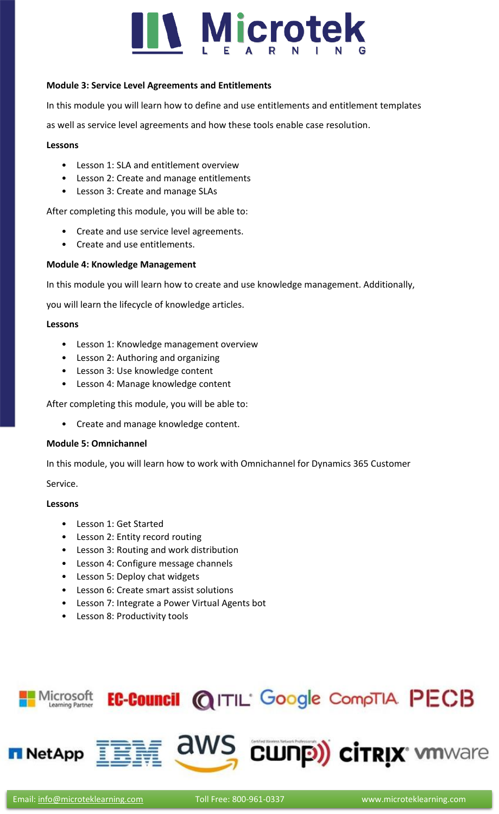# **Nicrotek**

# **Module 3: Service Level Agreements and Entitlements**

In this module you will learn how to define and use entitlements and entitlement templates

as well as service level agreements and how these tools enable case resolution.

# **Lessons**

- Lesson 1: SLA and entitlement overview
- Lesson 2: Create and manage entitlements
- Lesson 3: Create and manage SLAs

After completing this module, you will be able to:

- Create and use service level agreements.
- Create and use entitlements.

# **Module 4: Knowledge Management**

In this module you will learn how to create and use knowledge management. Additionally,

you will learn the lifecycle of knowledge articles.

# **Lessons**

- Lesson 1: Knowledge management overview
- Lesson 2: Authoring and organizing
- Lesson 3: Use knowledge content
- Lesson 4: Manage knowledge content

After completing this module, you will be able to:

• Create and manage knowledge content.

# **Module 5: Omnichannel**

In this module, you will learn how to work with Omnichannel for Dynamics 365 Customer

Service.

# **Lessons**

- Lesson 1: Get Started
- Lesson 2: Entity record routing
- Lesson 3: Routing and work distribution
- Lesson 4: Configure message channels
- Lesson 5: Deploy chat widgets
- Lesson 6: Create smart assist solutions
- Lesson 7: Integrate a Power Virtual Agents bot
- Lesson 8: Productivity tools